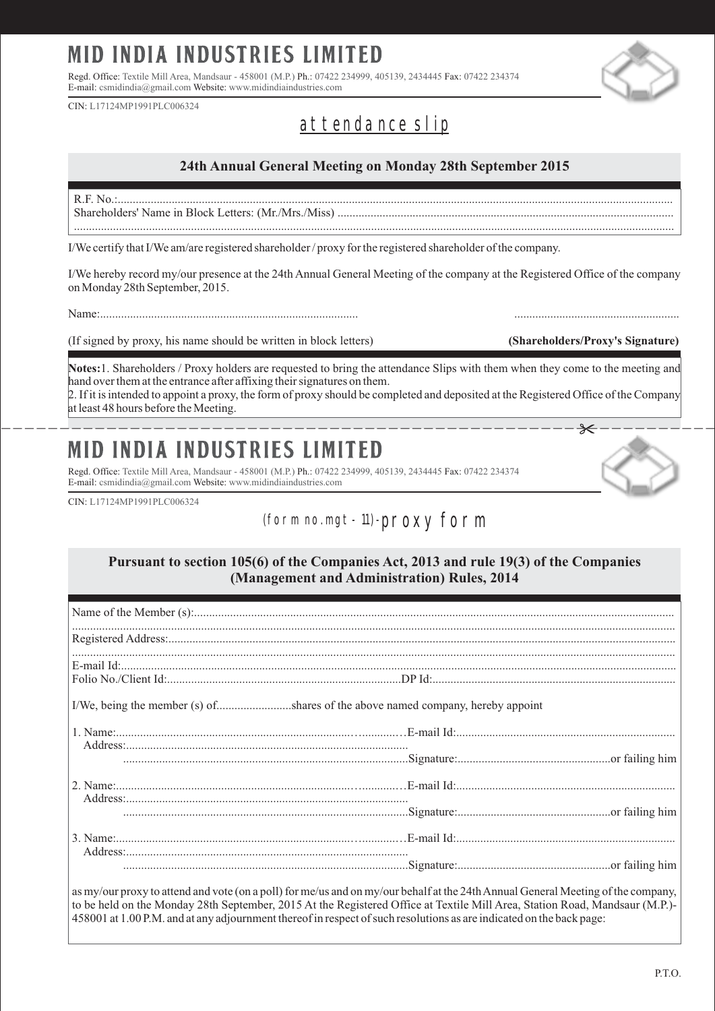# **MID INDIA INDUSTRIES LIMITED**

Regd. Office: Textile Mill Area, Mandsaur - 458001 (M.P.) Ph.: 07422 234999, 405139, 2434445 Fax: 07422 234374 E-mail: csmidindia@gmail.com Website: www.midindiaindustries.com

CIN: L17124MP1991PLC006324

## at tendance slip

### **24th Annual General Meeting on Monday 28th September 2015**

R.F. No.:......................................................................................................................................................................................... Shareholders' Name in Block Letters: (Mr./Mrs./Miss) ................................................................................................................ ........................................................................................................................................................................................................

I/We certify that I/We am/are registered shareholder / proxy for the registered shareholder of the company.

I/We hereby record my/our presence at the 24th Annual General Meeting of the company at the Registered Office of the company on Monday 28th September, 2015.

Name:...................................................................................... .......................................................

(If signed by proxy, his name should be written in block letters) **(Shareholders/Proxy's Signature)**

**Notes:**1. Shareholders / Proxy holders are requested to bring the attendance Slips with them when they come to the meeting and hand over them at the entrance after affixing their signatures on them.

------------------------------------------------------------- 2. If it is intended to appoint a proxy, the form of proxy should be completed and deposited at the Registered Office of the Company at least 48 hours before the Meeting.

#### **INDIA INDUSTRIES LIMITED MID**

Regd. Office: Textile Mill Area, Mandsaur - 458001 (M.P.) Ph.: 07422 234999, 405139, 2434445 Fax: 07422 234374 E-mail: csmidindia@gmail.com Website: www.midindiaindustries.com

CIN: L17124MP1991PLC006324

### (fo rm no. mgt - 11) -prox y fo rm

#### **Pursuant to section 105(6) of the Companies Act, 2013 and rule 19(3) of the Companies (Management and Administration) Rules, 2014**

| 1. Name:<br>Address:<br>Address: |  |  |  |
|----------------------------------|--|--|--|
|                                  |  |  |  |
|                                  |  |  |  |
|                                  |  |  |  |
|                                  |  |  |  |
|                                  |  |  |  |
|                                  |  |  |  |

as my/our proxy to attend and vote (on a poll) for me/us and on my/our behalf at the 24th Annual General Meeting of the company, to be held on the Monday 28th September, 2015 At the Registered Office at Textile Mill Area, Station Road, Mandsaur (M.P.)- 458001 at 1.00 P.M. and at any adjournment thereof in respect of such resolutions as are indicated on the back page: